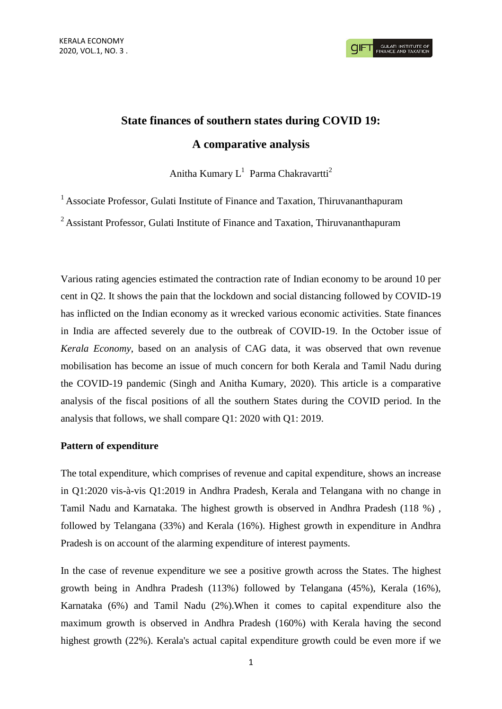# **State finances of southern states during COVID 19: A comparative analysis**

Anitha Kumary  $L^1$  Parma Chakravartti<sup>2</sup>

<sup>1</sup> Associate Professor, Gulati Institute of Finance and Taxation, Thiruvananthapuram

<sup>2</sup> Assistant Professor, Gulati Institute of Finance and Taxation, Thiruvananthapuram

Various rating agencies estimated the contraction rate of Indian economy to be around 10 per cent in Q2. It shows the pain that the lockdown and social distancing followed by COVID-19 has inflicted on the Indian economy as it wrecked various economic activities. State finances in India are affected severely due to the outbreak of COVID-19. In the October issue of *Kerala Economy*, based on an analysis of CAG data, it was observed that own revenue mobilisation has become an issue of much concern for both Kerala and Tamil Nadu during the COVID-19 pandemic (Singh and Anitha Kumary, 2020). This article is a comparative analysis of the fiscal positions of all the southern States during the COVID period. In the analysis that follows, we shall compare Q1: 2020 with Q1: 2019.

#### **Pattern of expenditure**

The total expenditure, which comprises of revenue and capital expenditure, shows an increase in Q1:2020 vis-à-vis Q1:2019 in Andhra Pradesh, Kerala and Telangana with no change in Tamil Nadu and Karnataka. The highest growth is observed in Andhra Pradesh (118 %) , followed by Telangana (33%) and Kerala (16%). Highest growth in expenditure in Andhra Pradesh is on account of the alarming expenditure of interest payments.

In the case of revenue expenditure we see a positive growth across the States. The highest growth being in Andhra Pradesh (113%) followed by Telangana (45%), Kerala (16%), Karnataka (6%) and Tamil Nadu (2%).When it comes to capital expenditure also the maximum growth is observed in Andhra Pradesh (160%) with Kerala having the second highest growth (22%). Kerala's actual capital expenditure growth could be even more if we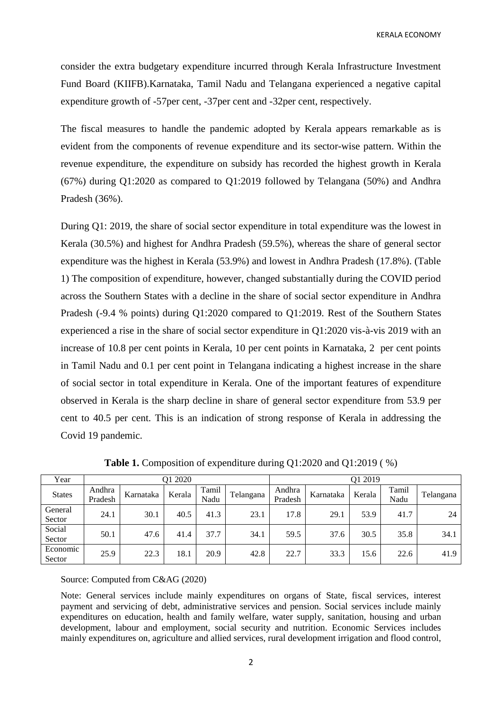KERALA ECONOMY

consider the extra budgetary expenditure incurred through Kerala Infrastructure Investment Fund Board (KIIFB).Karnataka, Tamil Nadu and Telangana experienced a negative capital expenditure growth of -57per cent, -37per cent and -32per cent, respectively.

The fiscal measures to handle the pandemic adopted by Kerala appears remarkable as is evident from the components of revenue expenditure and its sector-wise pattern. Within the revenue expenditure, the expenditure on subsidy has recorded the highest growth in Kerala (67%) during Q1:2020 as compared to Q1:2019 followed by Telangana (50%) and Andhra Pradesh (36%).

During Q1: 2019, the share of social sector expenditure in total expenditure was the lowest in Kerala (30.5%) and highest for Andhra Pradesh (59.5%), whereas the share of general sector expenditure was the highest in Kerala (53.9%) and lowest in Andhra Pradesh (17.8%). (Table 1) The composition of expenditure, however, changed substantially during the COVID period across the Southern States with a decline in the share of social sector expenditure in Andhra Pradesh (-9.4 % points) during Q1:2020 compared to Q1:2019. Rest of the Southern States experienced a rise in the share of social sector expenditure in Q1:2020 vis-à-vis 2019 with an increase of 10.8 per cent points in Kerala, 10 per cent points in Karnataka, 2 per cent points in Tamil Nadu and 0.1 per cent point in Telangana indicating a highest increase in the share of social sector in total expenditure in Kerala. One of the important features of expenditure observed in Kerala is the sharp decline in share of general sector expenditure from 53.9 per cent to 40.5 per cent. This is an indication of strong response of Kerala in addressing the Covid 19 pandemic.

| Year               | Q1 2020           |           |        |               | O1 2019   |                   |           |        |               |           |
|--------------------|-------------------|-----------|--------|---------------|-----------|-------------------|-----------|--------|---------------|-----------|
| <b>States</b>      | Andhra<br>Pradesh | Karnataka | Kerala | Tamil<br>Nadu | Telangana | Andhra<br>Pradesh | Karnataka | Kerala | Tamil<br>Nadu | Telangana |
| General<br>Sector  | 24.1              | 30.1      | 40.5   | 41.3          | 23.1      | 17.8              | 29.1      | 53.9   | 41.7          | 24        |
| Social<br>Sector   | 50.1              | 47.6      | 41.4   | 37.7          | 34.1      | 59.5              | 37.6      | 30.5   | 35.8          | 34.1      |
| Economic<br>Sector | 25.9              | 22.3      | 18.1   | 20.9          | 42.8      | 22.7              | 33.3      | 15.6   | 22.6          | 41.9      |

**Table 1.** Composition of expenditure during Q1:2020 and Q1:2019 ( %)

Source: Computed from C&AG (2020)

Note: General services include mainly expenditures on organs of State, fiscal services, interest payment and servicing of debt, administrative services and pension. Social services include mainly expenditures on education, health and family welfare, water supply, sanitation, housing and urban development, labour and employment, social security and nutrition. Economic Services includes mainly expenditures on, agriculture and allied services, rural development irrigation and flood control,

2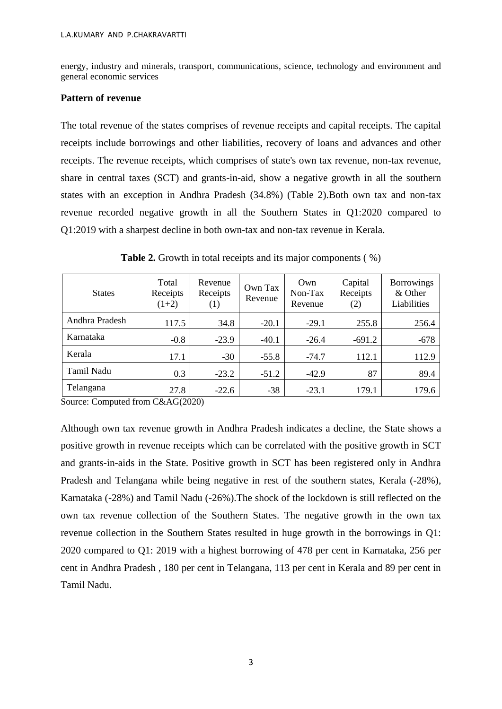energy, industry and minerals, transport, communications, science, technology and environment and general economic services

### **Pattern of revenue**

The total revenue of the states comprises of revenue receipts and capital receipts. The capital receipts include borrowings and other liabilities, recovery of loans and advances and other receipts. The revenue receipts, which comprises of state's own tax revenue, non-tax revenue, share in central taxes (SCT) and grants-in-aid, show a negative growth in all the southern states with an exception in Andhra Pradesh (34.8%) (Table 2).Both own tax and non-tax revenue recorded negative growth in all the Southern States in Q1:2020 compared to Q1:2019 with a sharpest decline in both own-tax and non-tax revenue in Kerala.

| <b>States</b>  | Total<br>Receipts<br>$(1+2)$ | Revenue<br>Receipts<br>$\left(1\right)$ | Own Tax<br>Revenue | Own<br>Non-Tax<br>Revenue | Capital<br>Receipts<br>(2) | <b>Borrowings</b><br>& Other<br>Liabilities |
|----------------|------------------------------|-----------------------------------------|--------------------|---------------------------|----------------------------|---------------------------------------------|
| Andhra Pradesh | 117.5                        | 34.8                                    | $-20.1$            | $-29.1$                   | 255.8                      | 256.4                                       |
| Karnataka      | $-0.8$                       | $-23.9$                                 | $-40.1$            | $-26.4$                   | $-691.2$                   | $-678$                                      |
| Kerala         | 17.1                         | $-30$                                   | $-55.8$            | $-74.7$                   | 112.1                      | 112.9                                       |
| Tamil Nadu     | 0.3                          | $-23.2$                                 | $-51.2$            | $-42.9$                   | 87                         | 89.4                                        |
| Telangana      | 27.8                         | $-22.6$                                 | $-38$              | $-23.1$                   | 179.1                      | 179.6                                       |

**Table 2.** Growth in total receipts and its major components (%)

Source: Computed from C&AG(2020)

Although own tax revenue growth in Andhra Pradesh indicates a decline, the State shows a positive growth in revenue receipts which can be correlated with the positive growth in SCT and grants-in-aids in the State. Positive growth in SCT has been registered only in Andhra Pradesh and Telangana while being negative in rest of the southern states, Kerala (-28%), Karnataka (-28%) and Tamil Nadu (-26%).The shock of the lockdown is still reflected on the own tax revenue collection of the Southern States. The negative growth in the own tax revenue collection in the Southern States resulted in huge growth in the borrowings in Q1: 2020 compared to Q1: 2019 with a highest borrowing of 478 per cent in Karnataka, 256 per cent in Andhra Pradesh , 180 per cent in Telangana, 113 per cent in Kerala and 89 per cent in Tamil Nadu.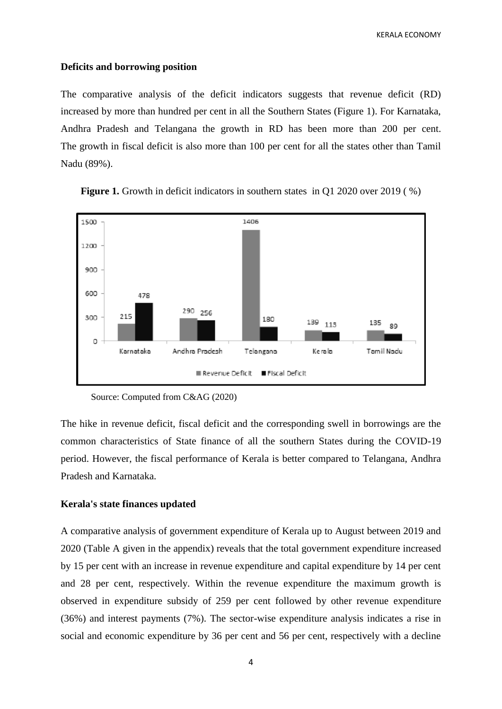KERALA ECONOMY

#### **Deficits and borrowing position**

The comparative analysis of the deficit indicators suggests that revenue deficit (RD) increased by more than hundred per cent in all the Southern States (Figure 1). For Karnataka, Andhra Pradesh and Telangana the growth in RD has been more than 200 per cent. The growth in fiscal deficit is also more than 100 per cent for all the states other than Tamil Nadu (89%).



**Figure 1.** Growth in deficit indicators in southern states in O1 2020 over 2019 (%)

Source: Computed from C&AG (2020)

The hike in revenue deficit, fiscal deficit and the corresponding swell in borrowings are the common characteristics of State finance of all the southern States during the COVID-19 period. However, the fiscal performance of Kerala is better compared to Telangana, Andhra Pradesh and Karnataka.

#### **Kerala's state finances updated**

A comparative analysis of government expenditure of Kerala up to August between 2019 and 2020 (Table A given in the appendix) reveals that the total government expenditure increased by 15 per cent with an increase in revenue expenditure and capital expenditure by 14 per cent and 28 per cent, respectively. Within the revenue expenditure the maximum growth is observed in expenditure subsidy of 259 per cent followed by other revenue expenditure (36%) and interest payments (7%). The sector-wise expenditure analysis indicates a rise in social and economic expenditure by 36 per cent and 56 per cent, respectively with a decline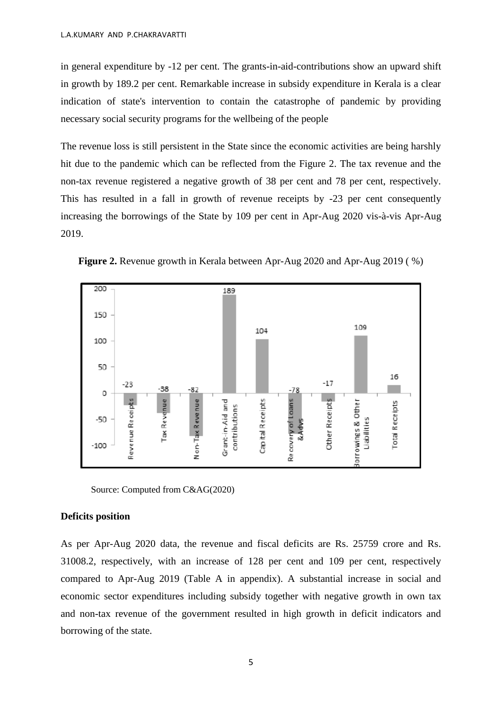in general expenditure by -12 per cent. The grants-in-aid-contributions show an upward shift in growth by 189.2 per cent. Remarkable increase in subsidy expenditure in Kerala is a clear indication of state's intervention to contain the catastrophe of pandemic by providing necessary social security programs for the wellbeing of the people

The revenue loss is still persistent in the State since the economic activities are being harshly hit due to the pandemic which can be reflected from the Figure 2. The tax revenue and the non-tax revenue registered a negative growth of 38 per cent and 78 per cent, respectively. This has resulted in a fall in growth of revenue receipts by -23 per cent consequently increasing the borrowings of the State by 109 per cent in Apr-Aug 2020 vis-à-vis Apr-Aug 2019.



**Figure 2.** Revenue growth in Kerala between Apr-Aug 2020 and Apr-Aug 2019 ( %)

Source: Computed from C&AG(2020)

#### **Deficits position**

As per Apr-Aug 2020 data, the revenue and fiscal deficits are Rs. 25759 crore and Rs. 31008.2, respectively, with an increase of 128 per cent and 109 per cent, respectively compared to Apr-Aug 2019 (Table A in appendix). A substantial increase in social and economic sector expenditures including subsidy together with negative growth in own tax and non-tax revenue of the government resulted in high growth in deficit indicators and borrowing of the state.